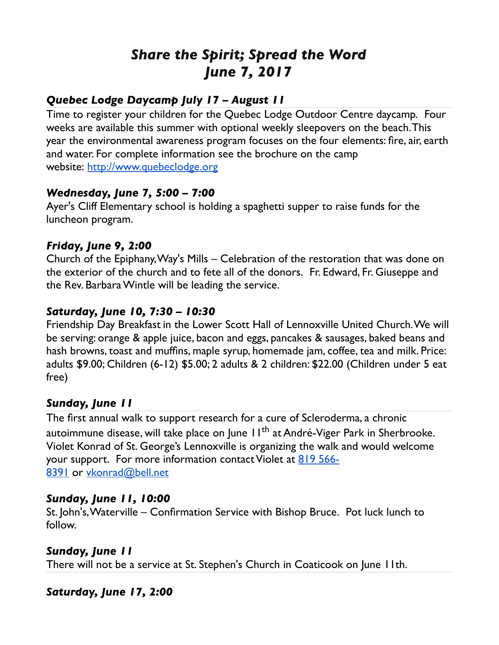# *Share the Spirit; Spread the Word June 7, 2017*

# *Quebec Lodge Daycamp July 17 – August 11*

Time to register your children for the Quebec Lodge Outdoor Centre daycamp. Four weeks are available this summer with optional weekly sleepovers on the beach. This year the environmental awareness program focuses on the four elements: fire, air, earth and water. For complete information see the brochure on the camp website: [http://www.quebeclodge.org](http://www.quebeclodge.org/)

## *Wednesday, June 7, 5:00 – 7:00*

Ayer's Cliff Elementary school is holding a spaghetti supper to raise funds for the luncheon program.

### *Friday, June 9, 2:00*

Church of the Epiphany, Way's Mills – Celebration of the restoration that was done on the exterior of the church and to fete all of the donors. Fr. Edward, Fr. Giuseppe and the Rev. Barbara Wintle will be leading the service.

## *Saturday, June 10, 7:30 – 10:30*

Friendship Day Breakfast in the Lower Scott Hall of Lennoxville United Church. We will be serving: orange & apple juice, bacon and eggs, pancakes & sausages, baked beans and hash browns, toast and muffins, maple syrup, homemade jam, coffee, tea and milk. Price: adults \$9.00; Children (6-12) \$5.00; 2 adults & 2 children: \$22.00 (Children under 5 eat free)

## *Sunday, June 11*

The first annual walk to support research for a cure of Scleroderma, a chronic autoimmune disease, will take place on June 11<sup>th</sup> at André-Viger Park in Sherbrooke. Violet Konrad of St. George's Lennoxville is organizing the walk and would welcome your support. For more information contact Violet at [819 566-](tel:(819)%20566-8391) [8391](tel:(819)%20566-8391) or [vkonrad@bell.net](mailto:vkonrad@bell.net)

#### *Sunday, June 11, 10:00*

St. John's, Waterville – Confirmation Service with Bishop Bruce. Pot luck lunch to follow.

#### *Sunday, June 11*

There will not be a service at St. Stephen's Church in Coaticook on June 11th.

## *Saturday, June 17, 2:00*